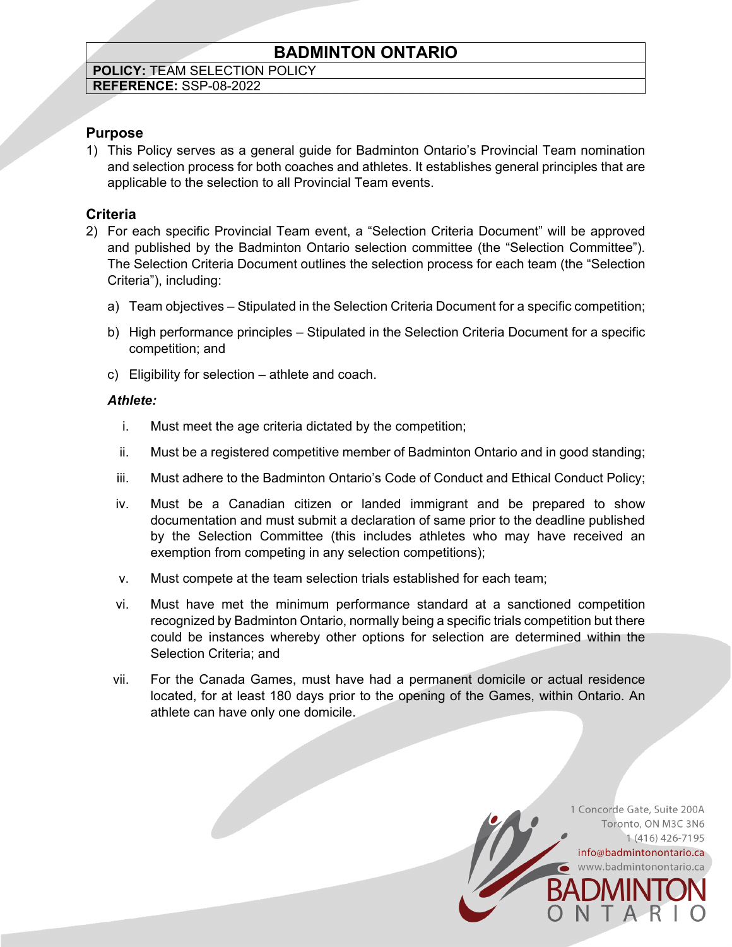# **BADMINTON ONTARIO**

# **POLICY:** TEAM SELECTION POLICY

**REFERENCE:** SSP-08-2022

# **Purpose**

1) This Policy serves as a general guide for Badminton Ontario's Provincial Team nomination and selection process for both coaches and athletes. It establishes general principles that are applicable to the selection to all Provincial Team events.

## **Criteria**

- 2) For each specific Provincial Team event, a "Selection Criteria Document" will be approved and published by the Badminton Ontario selection committee (the "Selection Committee"). The Selection Criteria Document outlines the selection process for each team (the "Selection Criteria"), including:
	- a) Team objectives Stipulated in the Selection Criteria Document for a specific competition;
	- b) High performance principles Stipulated in the Selection Criteria Document for a specific competition; and
	- c) Eligibility for selection athlete and coach.

### *Athlete:*

- i. Must meet the age criteria dictated by the competition;
- ii. Must be a registered competitive member of Badminton Ontario and in good standing;
- iii. Must adhere to the Badminton Ontario's Code of Conduct and Ethical Conduct Policy;
- iv. Must be a Canadian citizen or landed immigrant and be prepared to show documentation and must submit a declaration of same prior to the deadline published by the Selection Committee (this includes athletes who may have received an exemption from competing in any selection competitions);
- v. Must compete at the team selection trials established for each team;
- vi. Must have met the minimum performance standard at a sanctioned competition recognized by Badminton Ontario, normally being a specific trials competition but there could be instances whereby other options for selection are determined within the Selection Criteria; and
- vii. For the Canada Games, must have had a permanent domicile or actual residence located, for at least 180 days prior to the opening of the Games, within Ontario. An athlete can have only one domicile.

1 Concorde Gate, Suite 200A Toronto, ON M3C 3N6 1 (416) 426-7195

info@badmintonontario.ca www.badmintonontario.ca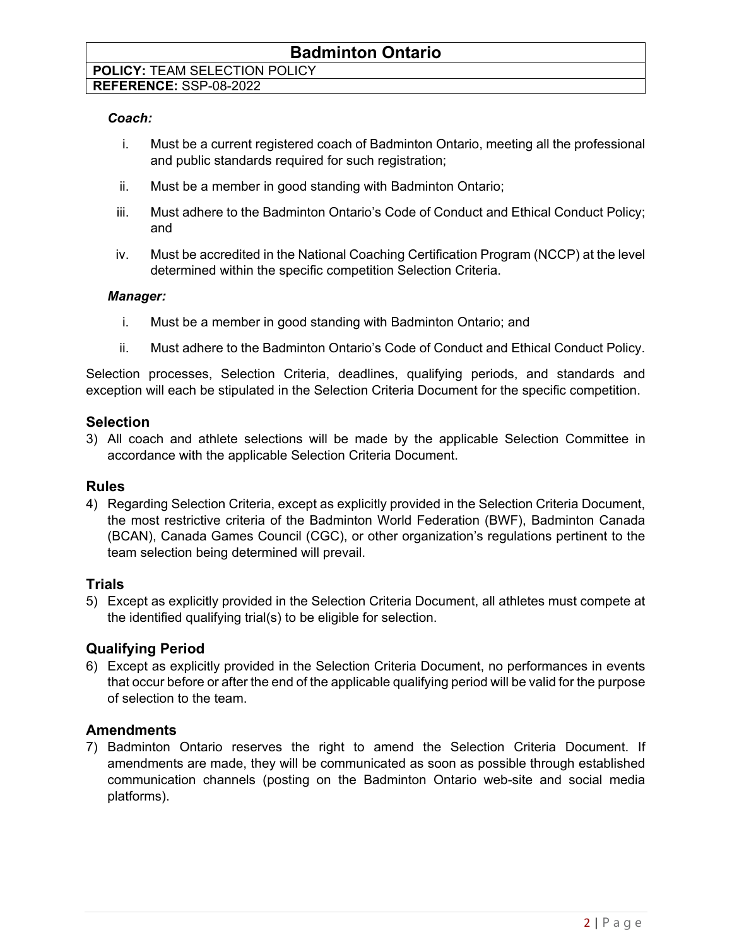# **REFERENCE:** SSP-08-2022

#### *Coach:*

- i. Must be a current registered coach of Badminton Ontario, meeting all the professional and public standards required for such registration;
- ii. Must be a member in good standing with Badminton Ontario;
- iii. Must adhere to the Badminton Ontario's Code of Conduct and Ethical Conduct Policy; and
- iv. Must be accredited in the National Coaching Certification Program (NCCP) at the level determined within the specific competition Selection Criteria.

#### *Manager:*

- i. Must be a member in good standing with Badminton Ontario; and
- ii. Must adhere to the Badminton Ontario's Code of Conduct and Ethical Conduct Policy.

Selection processes, Selection Criteria, deadlines, qualifying periods, and standards and exception will each be stipulated in the Selection Criteria Document for the specific competition.

#### **Selection**

3) All coach and athlete selections will be made by the applicable Selection Committee in accordance with the applicable Selection Criteria Document.

### **Rules**

4) Regarding Selection Criteria, except as explicitly provided in the Selection Criteria Document, the most restrictive criteria of the Badminton World Federation (BWF), Badminton Canada (BCAN), Canada Games Council (CGC), or other organization's regulations pertinent to the team selection being determined will prevail.

### **Trials**

5) Except as explicitly provided in the Selection Criteria Document, all athletes must compete at the identified qualifying trial(s) to be eligible for selection.

### **Qualifying Period**

6) Except as explicitly provided in the Selection Criteria Document, no performances in events that occur before or after the end of the applicable qualifying period will be valid for the purpose of selection to the team.

### **Amendments**

7) Badminton Ontario reserves the right to amend the Selection Criteria Document. If amendments are made, they will be communicated as soon as possible through established communication channels (posting on the Badminton Ontario web-site and social media platforms).